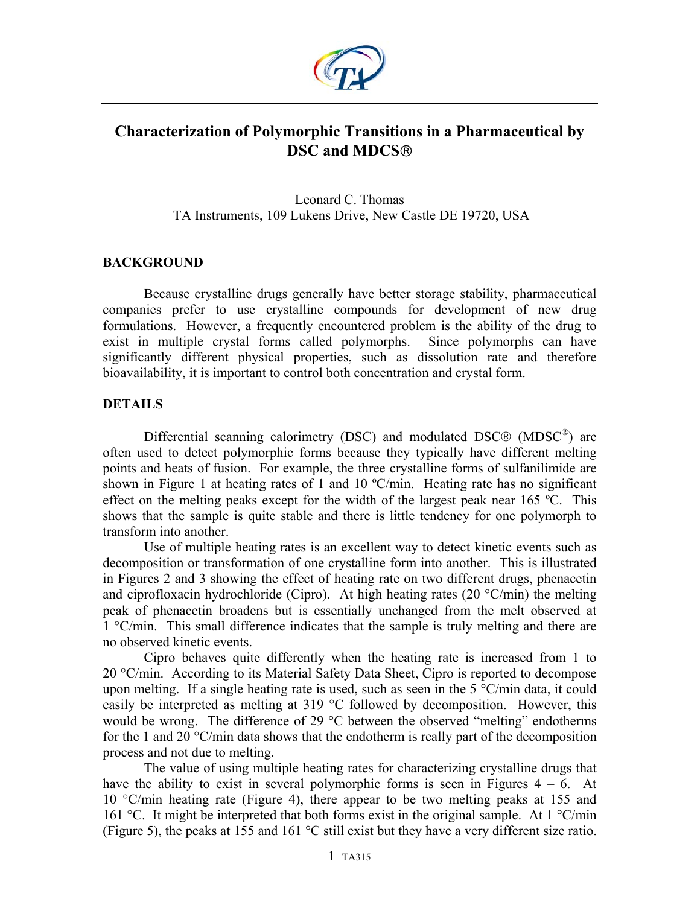

# **Characterization of Polymorphic Transitions in a Pharmaceutical by DSC and MDCS**

Leonard C. Thomas TA Instruments, 109 Lukens Drive, New Castle DE 19720, USA

# **BACKGROUND**

Because crystalline drugs generally have better storage stability, pharmaceutical companies prefer to use crystalline compounds for development of new drug formulations. However, a frequently encountered problem is the ability of the drug to exist in multiple crystal forms called polymorphs. Since polymorphs can have significantly different physical properties, such as dissolution rate and therefore bioavailability, it is important to control both concentration and crystal form.

# **DETAILS**

Differential scanning calorimetry (DSC) and modulated DSC® (MDSC<sup>®</sup>) are often used to detect polymorphic forms because they typically have different melting points and heats of fusion. For example, the three crystalline forms of sulfanilimide are shown in Figure 1 at heating rates of 1 and 10 °C/min. Heating rate has no significant effect on the melting peaks except for the width of the largest peak near 165 °C. This shows that the sample is quite stable and there is little tendency for one polymorph to transform into another.

Use of multiple heating rates is an excellent way to detect kinetic events such as decomposition or transformation of one crystalline form into another. This is illustrated in Figures 2 and 3 showing the effect of heating rate on two different drugs, phenacetin and ciprofloxacin hydrochloride (Cipro). At high heating rates (20  $\degree$ C/min) the melting peak of phenacetin broadens but is essentially unchanged from the melt observed at 1 °C/min. This small difference indicates that the sample is truly melting and there are no observed kinetic events.

Cipro behaves quite differently when the heating rate is increased from 1 to 20 °C/min. According to its Material Safety Data Sheet, Cipro is reported to decompose upon melting. If a single heating rate is used, such as seen in the 5 °C/min data, it could easily be interpreted as melting at 319 °C followed by decomposition. However, this would be wrong. The difference of 29 °C between the observed "melting" endotherms for the 1 and 20  $\degree$ C/min data shows that the endotherm is really part of the decomposition process and not due to melting.

The value of using multiple heating rates for characterizing crystalline drugs that have the ability to exist in several polymorphic forms is seen in Figures  $4 - 6$ . At 10 °C/min heating rate (Figure 4), there appear to be two melting peaks at 155 and 161 °C. It might be interpreted that both forms exist in the original sample. At 1 °C/min (Figure 5), the peaks at 155 and 161 °C still exist but they have a very different size ratio.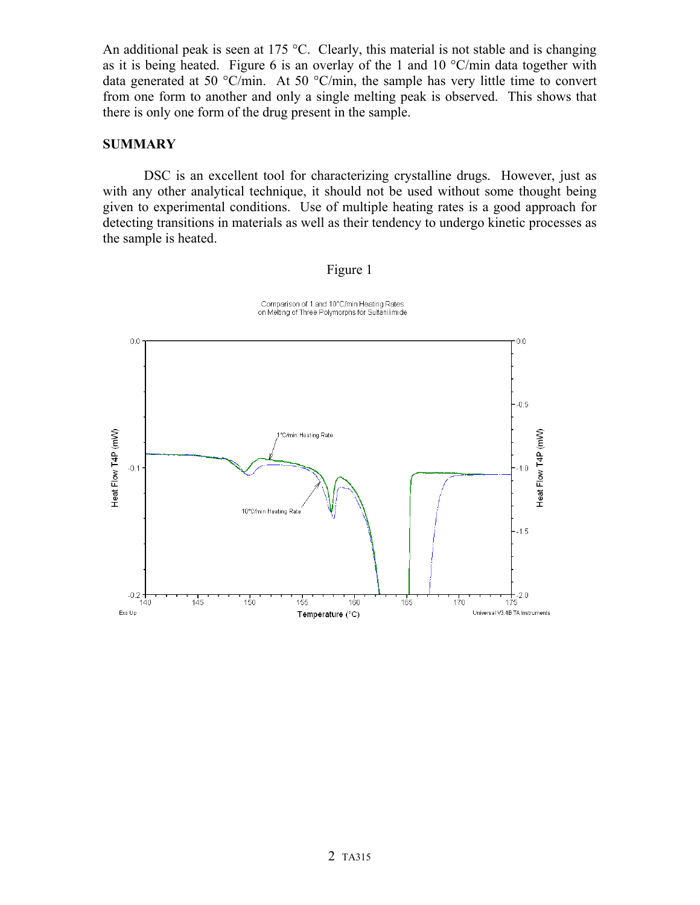An additional peak is seen at 175  $\degree$ C. Clearly, this material is not stable and is changing as it is being heated. Figure 6 is an overlay of the 1 and 10  $^{\circ}$ C/min data together with data generated at 50  $\degree$ C/min. At 50  $\degree$ C/min, the sample has very little time to convert from one form to another and only a single melting peak is observed. This shows that there is only one form of the drug present in the sample.

### **SUMMARY**

DSC is an excellent tool for characterizing crystalline drugs. However, just as with any other analytical technique, it should not be used without some thought being given to experimental conditions. Use of multiple heating rates is a good approach for detecting transitions in materials as well as their tendency to undergo kinetic processes as the sample is heated.

#### Figure 1



Comparison of 1 and 10°C/min Heating Rates<br>on Melting of Three Polymorphs for Sulfanilimide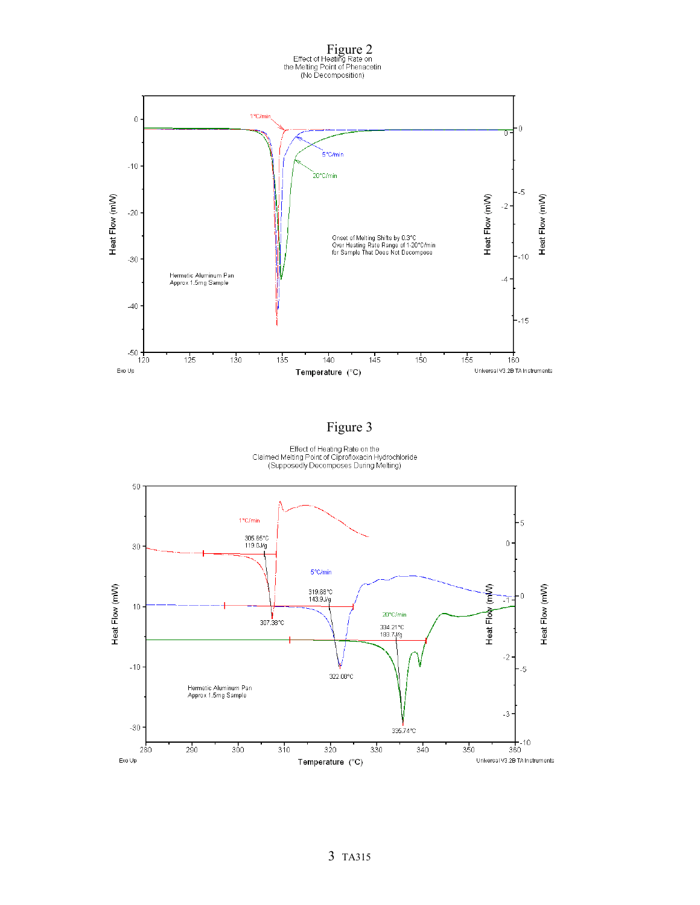

# Figure 3

Effect of Heating Rate on the<br>Claimed Melting Point of Ciprofloxacin Hydrochloride<br>(Supposedly Decomposes During Melting)

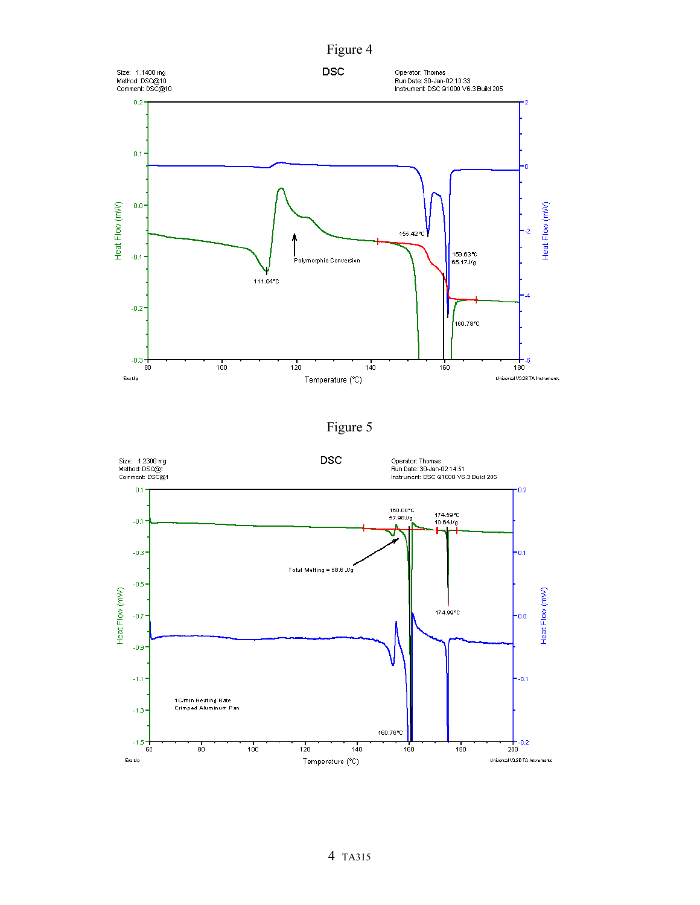



Figure 5

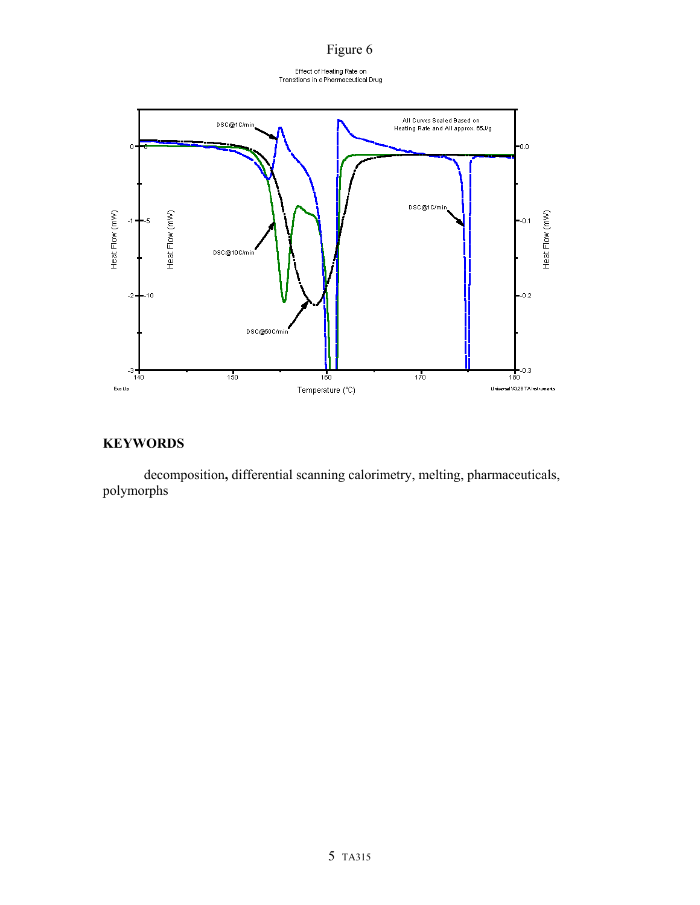# Figure 6

Effect of Heating Rate on<br>Transitions in a Pharmaceutical Drug



# **KEYWORDS**

decomposition**,** differential scanning calorimetry, melting, pharmaceuticals, polymorphs